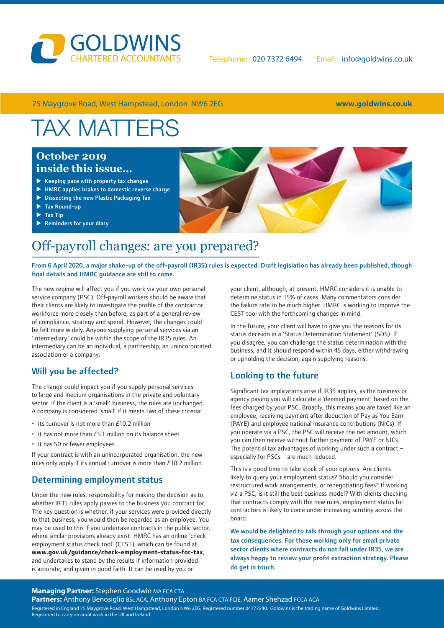

75 Maygrove Road, West Hampstead, London NW6 2EG **www.goldwins.co.uk**

# TAX MATTERS

### **October 2019 inside this issue…**

- $\blacktriangleright$  Keeping pace with property tax changes
- $\blacktriangleright$  HMRC applies brakes to domestic reverse charge
- $\triangleright$  Dissecting the new Plastic Packaging Tax
- $\blacktriangleright$  Tax Round-up
- $\blacktriangleright$  Tax Tip
- $\blacktriangleright$  Reminders for your diary

### Off-payroll changes: are you prepared?

#### From 6 April 2020, a major shake-up of the off-payroll (IR35) rules is expected. Draft legislation has already been published, though final details and HMRC guidance are still to come.

The new regime will affect you if you work via your own personal service company (PSC). Off-payroll workers should be aware that their clients are likely to investigate the profile of the contractor workforce more closely than before, as part of a general review of compliance, strategy and spend. However, the changes could be felt more widely. Anyone supplying personal services via an 'intermediary' could be within the scope of the IR35 rules. An intermediary can be an individual, a partnership, an unincorporated association or a company.

### Will you be affected?

The change could impact you if you supply personal services to large and medium organisations in the private and voluntary sector. If the client is a 'small' business, the rules are unchanged. A company is considered 'small' if it meets two of these criteria:

- its turnover is not more than £10.2 million
- it has not more than £5.1 million on its balance sheet
- it has 50 or fewer employees.

If your contract is with an unincorporated organisation, the new rules only apply if its annual turnover is more than £10.2 million.

#### Determining employment status

Under the new rules, responsibility for making the decision as to whether IR35 rules apply passes to the business you contract for. The key question is whether, if your services were provided directly to that business, you would then be regarded as an employee. You may be used to this if you undertake contracts in the public sector, where similar provisions already exist. HMRC has an online 'check employment status check tool' (CEST[\), which can be found at](https://www.gov.uk/guidance/check-employment-status-for-tax)  **[www.gov.uk/guidance/check-employment-status-for-tax](https://www.gov.uk/guidance/check-employment-status-for-tax)**, and undertakes to stand by the results if information provided is accurate, and given in good faith. It can be used by you or

your client, although, at present, HMRC considers it is unable to determine status in 15% of cases. Many commentators consider the failure rate to be much higher. HMRC is working to improve the CEST tool with the forthcoming changes in mind.

In the future, your client will have to give you the reasons for its status decision in a 'Status Determination Statement' (SDS). If you disagree, you can challenge the status determination with the business, and it should respond within 45 days, either withdrawing or upholding the decision, again supplying reasons.

### Looking to the future

Significant tax implications arise if IR35 applies, as the business or agency paying you will calculate a 'deemed payment' based on the fees charged by your PSC. Broadly, this means you are taxed like an employee, receiving payment after deduction of Pay as You Earn (PAYE) and employee national insurance contributions (NICs). If you operate via a PSC, the PSC will receive the net amount, which you can then receive without further payment of PAYE or NICs. The potential tax advantages of working under such a contract – especially for PSCs – are much reduced.

This is a good time to take stock of your options. Are clients likely to query your employment status? Should you consider restructured work arrangements, or renegotiating fees? If working via a PSC, is it still the best business model? With clients checking that contracts comply with the new rules, employment status for contractors is likely to come under increasing scrutiny across the board.

We would be delighted to talk through your options and the tax consequences. For those working only for small private sector clients where contracts do not fall under IR35, we are always happy to review your profit extraction strategy. Please do get in touch.

#### **Managing Partner:** Stephen Goodwin MA FCA CTA

Partners: Anthony Benosiglio BSc ACA, Anthony Epton BA FCA CTA FCIE, Aamer Shehzad FCCA ACA Registered in England 75 Maygrove Road, West Hampstead, London NW6 2EG, Registered number 04777240. Goldwins is the trading name of Goldwins Limited. Registered to carry on audit work in the UK and Ireland.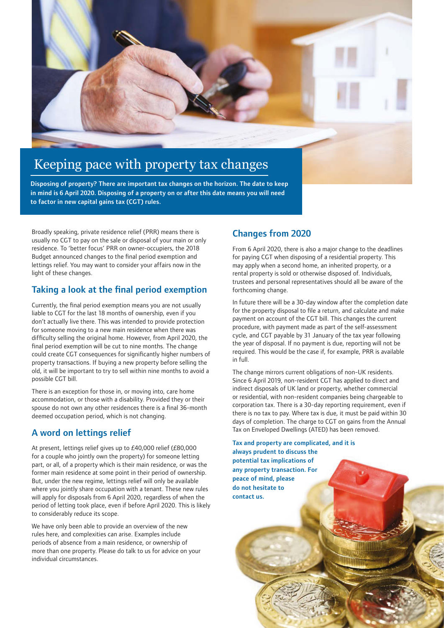

# Keeping pace with property tax changes

Disposing of property? There are important tax changes on the horizon. The date to keep in mind is 6 April 2020. Disposing of a property on or after this date means you will need to factor in new capital gains tax (CGT) rules.

Broadly speaking, private residence relief (PRR) means there is usually no CGT to pay on the sale or disposal of your main or only residence. To 'better focus' PRR on owner-occupiers, the 2018 Budget announced changes to the final period exemption and lettings relief. You may want to consider your affairs now in the light of these changes.

### Taking a look at the final period exemption

Currently, the final period exemption means you are not usually liable to CGT for the last 18 months of ownership, even if you don't actually live there. This was intended to provide protection for someone moving to a new main residence when there was difficulty selling the original home. However, from April 2020, the final period exemption will be cut to nine months. The change could create CGT consequences for significantly higher numbers of property transactions. If buying a new property before selling the old, it will be important to try to sell within nine months to avoid a possible CGT bill.

There is an exception for those in, or moving into, care home accommodation, or those with a disability. Provided they or their spouse do not own any other residences there is a final 36-month deemed occupation period, which is not changing.

### A word on lettings relief

At present, lettings relief gives up to £40,000 relief (£80,000 for a couple who jointly own the property) for someone letting part, or all, of a property which is their main residence, or was the former main residence at some point in their period of ownership. But, under the new regime, lettings relief will only be available where you jointly share occupation with a tenant. These new rules will apply for disposals from 6 April 2020, regardless of when the period of letting took place, even if before April 2020. This is likely to considerably reduce its scope.

We have only been able to provide an overview of the new rules here, and complexities can arise. Examples include periods of absence from a main residence, or ownership of more than one property. Please do talk to us for advice on your individual circumstances.

### Changes from 2020

From 6 April 2020, there is also a major change to the deadlines for paying CGT when disposing of a residential property. This may apply when a second home, an inherited property, or a rental property is sold or otherwise disposed of. Individuals, trustees and personal representatives should all be aware of the forthcoming change.

In future there will be a 30-day window after the completion date for the property disposal to file a return, and calculate and make payment on account of the CGT bill. This changes the current procedure, with payment made as part of the self-assessment cycle, and CGT payable by 31 January of the tax year following the year of disposal. If no payment is due, reporting will not be required. This would be the case if, for example, PRR is available in full.

The change mirrors current obligations of non-UK residents. Since 6 April 2019, non-resident CGT has applied to direct and indirect disposals of UK land or property, whether commercial or residential, with non-resident companies being chargeable to corporation tax. There is a 30-day reporting requirement, even if there is no tax to pay. Where tax is due, it must be paid within 30 days of completion. The charge to CGT on gains from the Annual Tax on Enveloped Dwellings (ATED) has been removed.

Tax and property are complicated, and it is always prudent to discuss the potential tax implications of any property transaction. For peace of mind, please do not hesitate to contact us.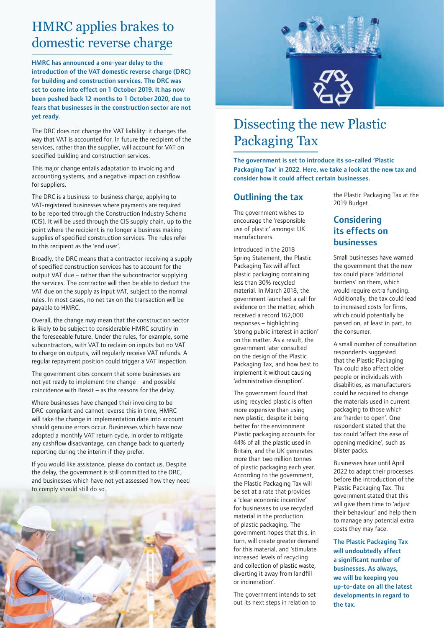## HMRC applies brakes to domestic reverse charge

HMRC has announced a one-year delay to the introduction of the VAT domestic reverse charge (DRC) for building and construction services. The DRC was set to come into effect on 1 October 2019. It has now been pushed back 12 months to 1 October 2020, due to fears that businesses in the construction sector are not yet ready.

The DRC does not change the VAT liability: it changes the way that VAT is accounted for. In future the recipient of the services, rather than the supplier, will account for VAT on specified building and construction services.

This major change entails adaptation to invoicing and accounting systems, and a negative impact on cashflow for suppliers.

The DRC is a business-to-business charge, applying to VAT-registered businesses where payments are required to be reported through the Construction Industry Scheme (CIS). It will be used through the CIS supply chain, up to the point where the recipient is no longer a business making supplies of specified construction services. The rules refer to this recipient as the 'end user'.

Broadly, the DRC means that a contractor receiving a supply of specified construction services has to account for the output VAT due – rather than the subcontractor supplying the services. The contractor will then be able to deduct the VAT due on the supply as input VAT, subject to the normal rules. In most cases, no net tax on the transaction will be payable to HMRC.

Overall, the change may mean that the construction sector is likely to be subject to considerable HMRC scrutiny in the foreseeable future. Under the rules, for example, some subcontractors, with VAT to reclaim on inputs but no VAT to charge on outputs, will regularly receive VAT refunds. A regular repayment position could trigger a VAT inspection.

The government cites concern that some businesses are not yet ready to implement the change – and possible coincidence with Brexit – as the reasons for the delay.

Where businesses have changed their invoicing to be DRC-compliant and cannot reverse this in time, HMRC will take the change in implementation date into account should genuine errors occur. Businesses which have now adopted a monthly VAT return cycle, in order to mitigate any cashflow disadvantage, can change back to quarterly reporting during the interim if they prefer.

If you would like assistance, please do contact us. Despite the delay, the government is still committed to the DRC, and businesses which have not yet assessed how they need to comply should still do so.





## Dissecting the new Plastic Packaging Tax

The government is set to introduce its so-called 'Plastic Packaging Tax' in 2022. Here, we take a look at the new tax and consider how it could affect certain businesses.

#### Outlining the tax

The government wishes to encourage the 'responsible use of plastic' amongst UK manufacturers.

Introduced in the 2018 Spring Statement, the Plastic Packaging Tax will affect plastic packaging containing less than 30% recycled material. In March 2018, the government launched a call for evidence on the matter, which received a record 162,000 responses – highlighting 'strong public interest in action' on the matter. As a result, the government later consulted on the design of the Plastic Packaging Tax, and how best to implement it without causing 'administrative disruption'.

The government found that using recycled plastic is often more expensive than using new plastic, despite it being better for the environment. Plastic packaging accounts for 44% of all the plastic used in Britain, and the UK generates more than two million tonnes of plastic packaging each year. According to the government, the Plastic Packaging Tax will be set at a rate that provides a 'clear economic incentive' for businesses to use recycled material in the production of plastic packaging. The government hopes that this, in turn, will create greater demand for this material, and 'stimulate increased levels of recycling and collection of plastic waste, diverting it away from landfill or incineration'.

The government intends to set out its next steps in relation to the Plastic Packaging Tax at the 2019 Budget.

### **Considering** its effects on businesses

Small businesses have warned the government that the new tax could place 'additional burdens' on them, which would require extra funding. Additionally, the tax could lead to increased costs for firms, which could potentially be passed on, at least in part, to the consumer.

A small number of consultation respondents suggested that the Plastic Packaging Tax could also affect older people or individuals with disabilities, as manufacturers could be required to change the materials used in current packaging to those which are 'harder to open'. One respondent stated that the tax could 'affect the ease of opening medicine', such as blister packs.

Businesses have until April 2022 to adapt their processes before the introduction of the Plastic Packaging Tax. The government stated that this will give them time to 'adjust their behaviour' and help them to manage any potential extra costs they may face.

The Plastic Packaging Tax will undoubtedly affect a significant number of businesses. As always, we will be keeping you up-to-date on all the latest developments in regard to the tax.